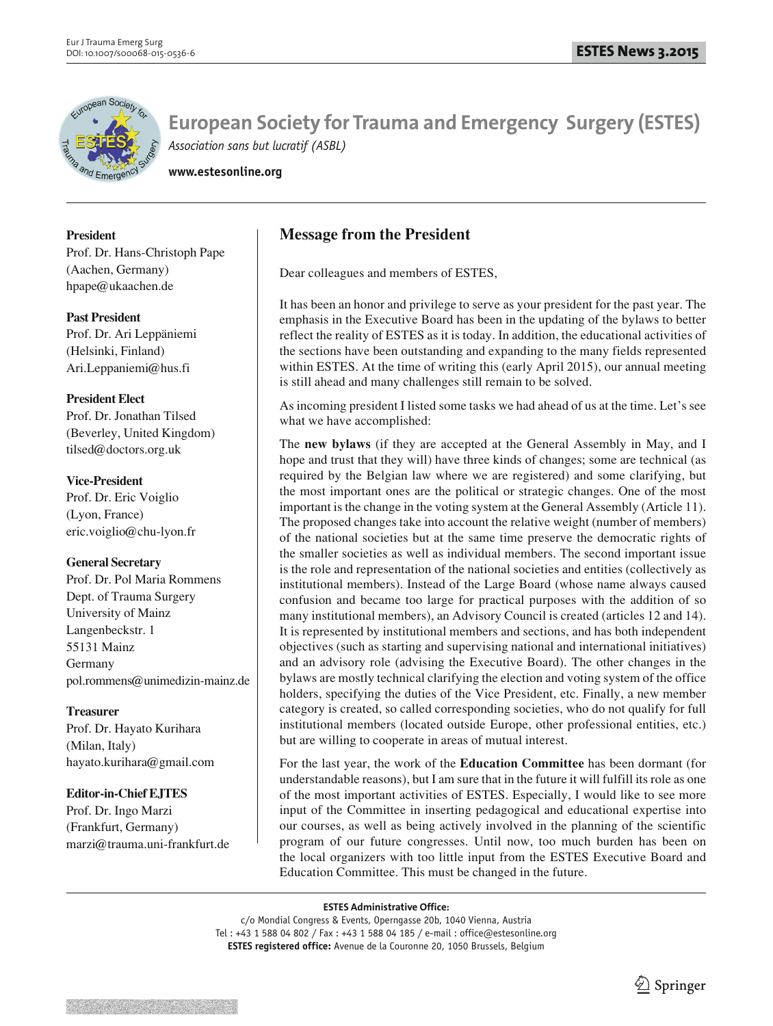

**www.estesonline.org**

### **President**

Prof. Dr. Hans-Christoph Pape (Aachen, Germany) hpape@ukaachen.de

### **Past President**

Prof. Dr. Ari Leppäniemi (Helsinki, Finland) Ari.Leppaniemi@hus.fi

## **President Elect**

Prof. Dr. Jonathan Tilsed (Beverley, United Kingdom) tilsed@doctors.org.uk

## **Vice-President**

Prof. Dr. Eric Voiglio (Lyon, France) eric.voiglio@chu-lyon.fr

### **General Secretary**

Prof. Dr. Pol Maria Rommens Dept. of Trauma Surgery University of Mainz Langenbeckstr. 1 55131 Mainz Germany pol.rommens@unimedizin-mainz.de

### **Treasurer**

Prof. Dr. Hayato Kurihara (Milan, Italy) hayato.kurihara@gmail.com

## **Editor-in-Chief EJTES**

Prof. Dr. Ingo Marzi (Frankfurt, Germany) marzi@trauma.uni-frankfurt.de

# **Message from the President**

Dear colleagues and members of ESTES,

It has been an honor and privilege to serve as your president for the past year. The emphasis in the Executive Board has been in the updating of the bylaws to better reflect the reality of ESTES as it is today. In addition, the educational activities of the sections have been outstanding and expanding to the many fields represented within ESTES. At the time of writing this (early April 2015), our annual meeting is still ahead and many challenges still remain to be solved.

As incoming president I listed some tasks we had ahead of us at the time. Let's see what we have accomplished:

The **new bylaws** (if they are accepted at the General Assembly in May, and I hope and trust that they will) have three kinds of changes; some are technical (as required by the Belgian law where we are registered) and some clarifying, but the most important ones are the political or strategic changes. One of the most important is the change in the voting system at the General Assembly (Article 11). The proposed changes take into account the relative weight (number of members) of the national societies but at the same time preserve the democratic rights of the smaller societies as well as individual members. The second important issue is the role and representation of the national societies and entities (collectively as institutional members). Instead of the Large Board (whose name always caused confusion and became too large for practical purposes with the addition of so many institutional members), an Advisory Council is created (articles 12 and 14). It is represented by institutional members and sections, and has both independent objectives (such as starting and supervising national and international initiatives) and an advisory role (advising the Executive Board). The other changes in the bylaws are mostly technical clarifying the election and voting system of the office holders, specifying the duties of the Vice President, etc. Finally, a new member category is created, so called corresponding societies, who do not qualify for full institutional members (located outside Europe, other professional entities, etc.) but are willing to cooperate in areas of mutual interest.

For the last year, the work of the **Education Committee** has been dormant (for understandable reasons), but I am sure that in the future it will fulfill its role as one of the most important activities of ESTES. Especially, I would like to see more input of the Committee in inserting pedagogical and educational expertise into our courses, as well as being actively involved in the planning of the scientific program of our future congresses. Until now, too much burden has been on the local organizers with too little input from the ESTES Executive Board and Education Committee. This must be changed in the future.

#### **ESTES Administrative Office:**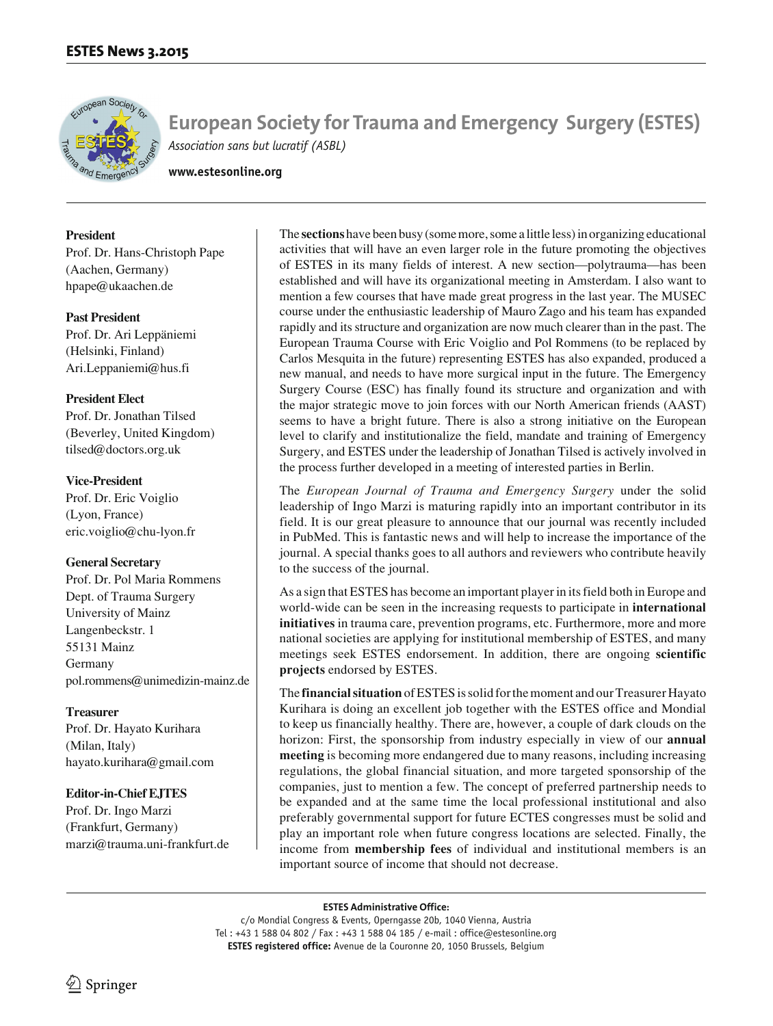

**www.estesonline.org**

#### **President**

Prof. Dr. Hans-Christoph Pape (Aachen, Germany) hpape@ukaachen.de

#### **Past President**

Prof. Dr. Ari Leppäniemi (Helsinki, Finland) Ari.Leppaniemi@hus.fi

#### **President Elect**

Prof. Dr. Jonathan Tilsed (Beverley, United Kingdom) tilsed@doctors.org.uk

#### **Vice-President**

Prof. Dr. Eric Voiglio (Lyon, France) eric.voiglio@chu-lyon.fr

#### **General Secretary**

Prof. Dr. Pol Maria Rommens Dept. of Trauma Surgery University of Mainz Langenbeckstr. 1 55131 Mainz Germany pol.rommens@unimedizin-mainz.de

#### **Treasurer**

Prof. Dr. Hayato Kurihara (Milan, Italy) hayato.kurihara@gmail.com

#### **Editor-in-Chief EJTES**

Prof. Dr. Ingo Marzi (Frankfurt, Germany) marzi@trauma.uni-frankfurt.de The **sections** have been busy (some more, some a little less) in organizing educational activities that will have an even larger role in the future promoting the objectives of ESTES in its many fields of interest. A new section—polytrauma—has been established and will have its organizational meeting in Amsterdam. I also want to mention a few courses that have made great progress in the last year. The MUSEC course under the enthusiastic leadership of Mauro Zago and his team has expanded rapidly and its structure and organization are now much clearer than in the past. The European Trauma Course with Eric Voiglio and Pol Rommens (to be replaced by Carlos Mesquita in the future) representing ESTES has also expanded, produced a new manual, and needs to have more surgical input in the future. The Emergency Surgery Course (ESC) has finally found its structure and organization and with the major strategic move to join forces with our North American friends (AAST) seems to have a bright future. There is also a strong initiative on the European level to clarify and institutionalize the field, mandate and training of Emergency Surgery, and ESTES under the leadership of Jonathan Tilsed is actively involved in the process further developed in a meeting of interested parties in Berlin.

The *European Journal of Trauma and Emergency Surgery* under the solid leadership of Ingo Marzi is maturing rapidly into an important contributor in its field. It is our great pleasure to announce that our journal was recently included in PubMed. This is fantastic news and will help to increase the importance of the journal. A special thanks goes to all authors and reviewers who contribute heavily to the success of the journal.

As a sign that ESTES has become an important player in its field both in Europe and world-wide can be seen in the increasing requests to participate in **international initiatives** in trauma care, prevention programs, etc. Furthermore, more and more national societies are applying for institutional membership of ESTES, and many meetings seek ESTES endorsement. In addition, there are ongoing **scientific projects** endorsed by ESTES.

The **financial situation** of ESTES is solid for the moment and our Treasurer Hayato Kurihara is doing an excellent job together with the ESTES office and Mondial to keep us financially healthy. There are, however, a couple of dark clouds on the horizon: First, the sponsorship from industry especially in view of our **annual meeting** is becoming more endangered due to many reasons, including increasing regulations, the global financial situation, and more targeted sponsorship of the companies, just to mention a few. The concept of preferred partnership needs to be expanded and at the same time the local professional institutional and also preferably governmental support for future ECTES congresses must be solid and play an important role when future congress locations are selected. Finally, the income from **membership fees** of individual and institutional members is an important source of income that should not decrease.

#### **ESTES Administrative Office:**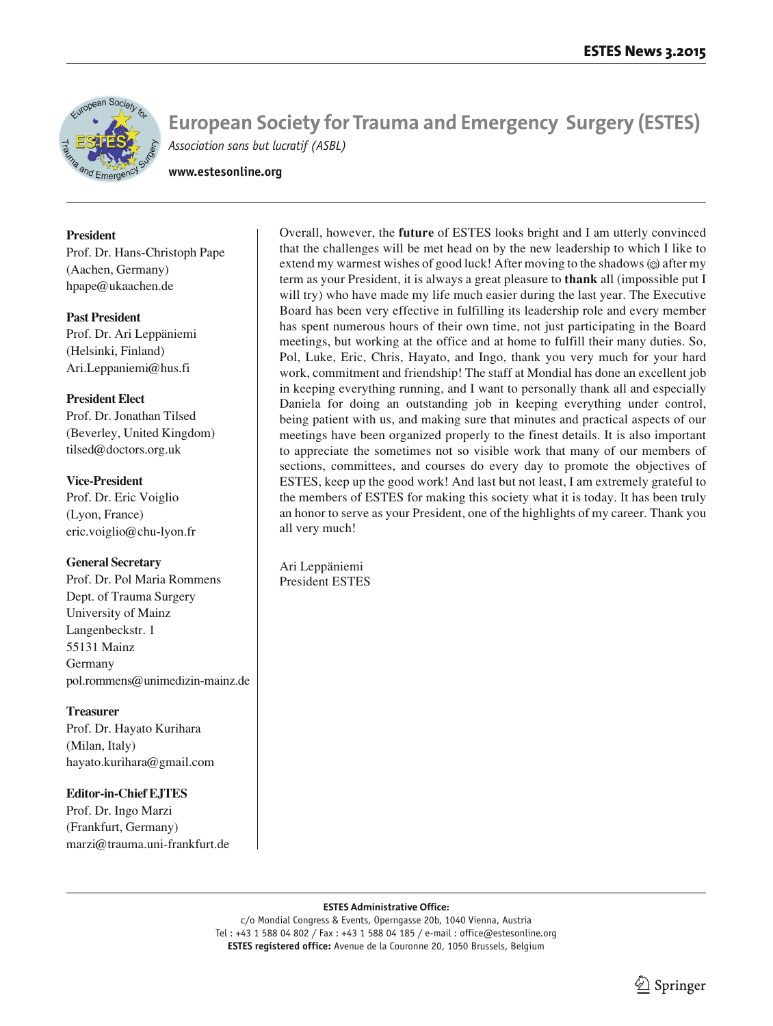

**www.estesonline.org**

#### **President**

Prof. Dr. Hans-Christoph Pape (Aachen, Germany) hpape@ukaachen.de

#### **Past President**

Prof. Dr. Ari Leppäniemi (Helsinki, Finland) Ari.Leppaniemi@hus.fi

#### **President Elect**

Prof. Dr. Jonathan Tilsed (Beverley, United Kingdom) tilsed@doctors.org.uk

#### **Vice-President**

Prof. Dr. Eric Voiglio (Lyon, France) eric.voiglio@chu-lyon.fr

### **General Secretary**

Prof. Dr. Pol Maria Rommens Dept. of Trauma Surgery University of Mainz Langenbeckstr. 1 55131 Mainz Germany pol.rommens@unimedizin-mainz.de

### **Treasurer**

Prof. Dr. Hayato Kurihara (Milan, Italy) hayato.kurihara@gmail.com

### **Editor-in-Chief EJTES**

Prof. Dr. Ingo Marzi (Frankfurt, Germany) marzi@trauma.uni-frankfurt.de Overall, however, the **future** of ESTES looks bright and I am utterly convinced that the challenges will be met head on by the new leadership to which I like to extend my warmest wishes of good luck! After moving to the shadows ( $\circ$ ) after my term as your President, it is always a great pleasure to **thank** all (impossible put I will try) who have made my life much easier during the last year. The Executive Board has been very effective in fulfilling its leadership role and every member has spent numerous hours of their own time, not just participating in the Board meetings, but working at the office and at home to fulfill their many duties. So, Pol, Luke, Eric, Chris, Hayato, and Ingo, thank you very much for your hard work, commitment and friendship! The staff at Mondial has done an excellent job in keeping everything running, and I want to personally thank all and especially Daniela for doing an outstanding job in keeping everything under control, being patient with us, and making sure that minutes and practical aspects of our meetings have been organized properly to the finest details. It is also important to appreciate the sometimes not so visible work that many of our members of sections, committees, and courses do every day to promote the objectives of ESTES, keep up the good work! And last but not least, I am extremely grateful to the members of ESTES for making this society what it is today. It has been truly an honor to serve as your President, one of the highlights of my career. Thank you all very much!

Ari Leppäniemi President ESTES

#### **ESTES Administrative Office:**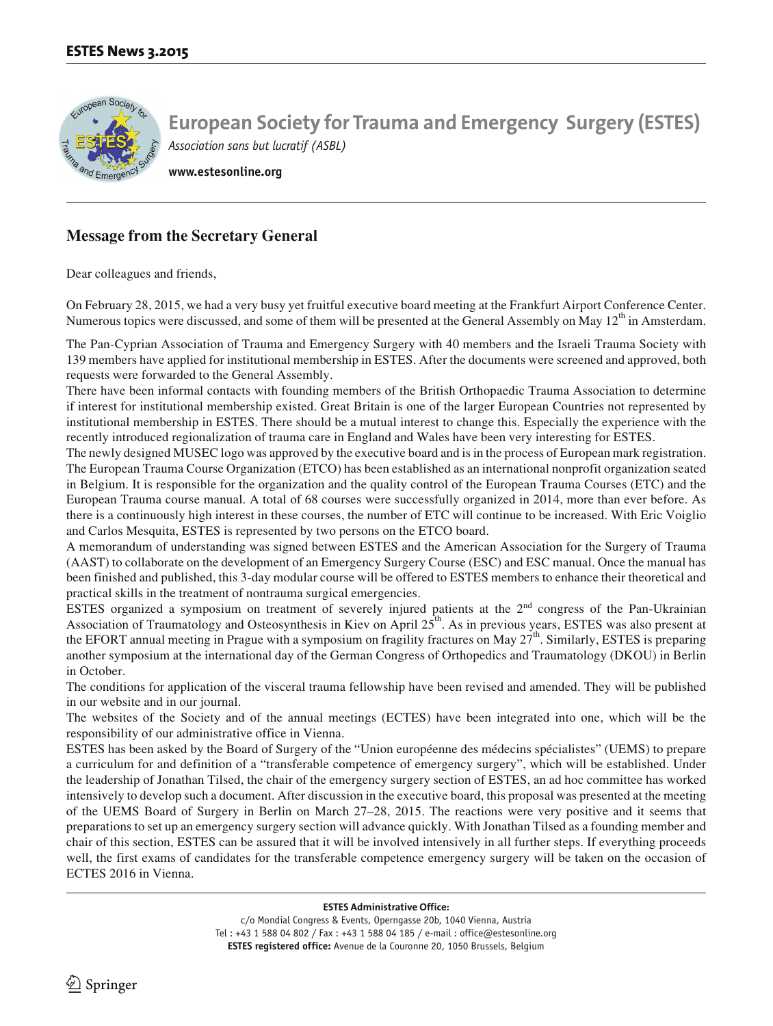

**www.estesonline.org**

## **Message from the Secretary General**

Dear colleagues and friends,

On February 28, 2015, we had a very busy yet fruitful executive board meeting at the Frankfurt Airport Conference Center. Numerous topics were discussed, and some of them will be presented at the General Assembly on May 12<sup>th</sup> in Amsterdam.

The Pan-Cyprian Association of Trauma and Emergency Surgery with 40 members and the Israeli Trauma Society with 139 members have applied for institutional membership in ESTES. After the documents were screened and approved, both requests were forwarded to the General Assembly.

There have been informal contacts with founding members of the British Orthopaedic Trauma Association to determine if interest for institutional membership existed. Great Britain is one of the larger European Countries not represented by institutional membership in ESTES. There should be a mutual interest to change this. Especially the experience with the recently introduced regionalization of trauma care in England and Wales have been very interesting for ESTES.

The newly designed MUSEC logo was approved by the executive board and is in the process of European mark registration. The European Trauma Course Organization (ETCO) has been established as an international nonprofit organization seated in Belgium. It is responsible for the organization and the quality control of the European Trauma Courses (ETC) and the European Trauma course manual. A total of 68 courses were successfully organized in 2014, more than ever before. As there is a continuously high interest in these courses, the number of ETC will continue to be increased. With Eric Voiglio and Carlos Mesquita, ESTES is represented by two persons on the ETCO board.

A memorandum of understanding was signed between ESTES and the American Association for the Surgery of Trauma (AAST) to collaborate on the development of an Emergency Surgery Course (ESC) and ESC manual. Once the manual has been finished and published, this 3-day modular course will be offered to ESTES members to enhance their theoretical and practical skills in the treatment of nontrauma surgical emergencies.

ESTES organized a symposium on treatment of severely injured patients at the  $2<sup>nd</sup>$  congress of the Pan-Ukrainian Association of Traumatology and Osteosynthesis in Kiev on April  $25<sup>th</sup>$ . As in previous years, ESTES was also present at the EFORT annual meeting in Prague with a symposium on fragility fractures on May 27<sup>th</sup>. Similarly, ESTES is preparing another symposium at the international day of the German Congress of Orthopedics and Traumatology (DKOU) in Berlin in October.

The conditions for application of the visceral trauma fellowship have been revised and amended. They will be published in our website and in our journal.

The websites of the Society and of the annual meetings (ECTES) have been integrated into one, which will be the responsibility of our administrative office in Vienna.

ESTES has been asked by the Board of Surgery of the "Union européenne des médecins spécialistes" (UEMS) to prepare a curriculum for and definition of a "transferable competence of emergency surgery", which will be established. Under the leadership of Jonathan Tilsed, the chair of the emergency surgery section of ESTES, an ad hoc committee has worked intensively to develop such a document. After discussion in the executive board, this proposal was presented at the meeting of the UEMS Board of Surgery in Berlin on March 27–28, 2015. The reactions were very positive and it seems that preparations to set up an emergency surgery section will advance quickly. With Jonathan Tilsed as a founding member and chair of this section, ESTES can be assured that it will be involved intensively in all further steps. If everything proceeds well, the first exams of candidates for the transferable competence emergency surgery will be taken on the occasion of ECTES 2016 in Vienna.

**ESTES Administrative Office:**

c/o Mondial Congress & Events, Operngasse 20b, 1040 Vienna, Austria Tel : +43 1 588 04 802 / Fax : +43 1 588 04 185 / e-mail : office@estesonline.org **ESTES registered office:** Avenue de la Couronne 20, 1050 Brussels, Belgium

2 Springer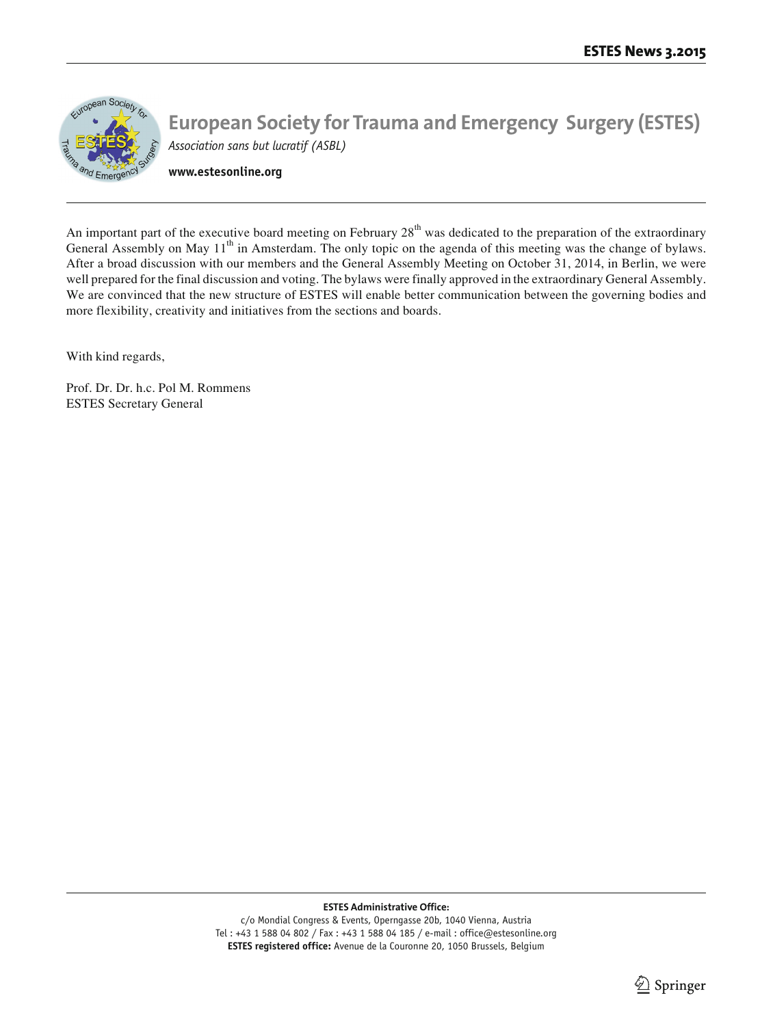

**www.estesonline.org**

An important part of the executive board meeting on February  $28<sup>th</sup>$  was dedicated to the preparation of the extraordinary General Assembly on May 11<sup>th</sup> in Amsterdam. The only topic on the agenda of this meeting was the change of bylaws. After a broad discussion with our members and the General Assembly Meeting on October 31, 2014, in Berlin, we were well prepared for the final discussion and voting. The bylaws were finally approved in the extraordinary General Assembly. We are convinced that the new structure of ESTES will enable better communication between the governing bodies and more flexibility, creativity and initiatives from the sections and boards.

With kind regards,

Prof. Dr. Dr. h.c. Pol M. Rommens ESTES Secretary General

**ESTES Administrative Office:**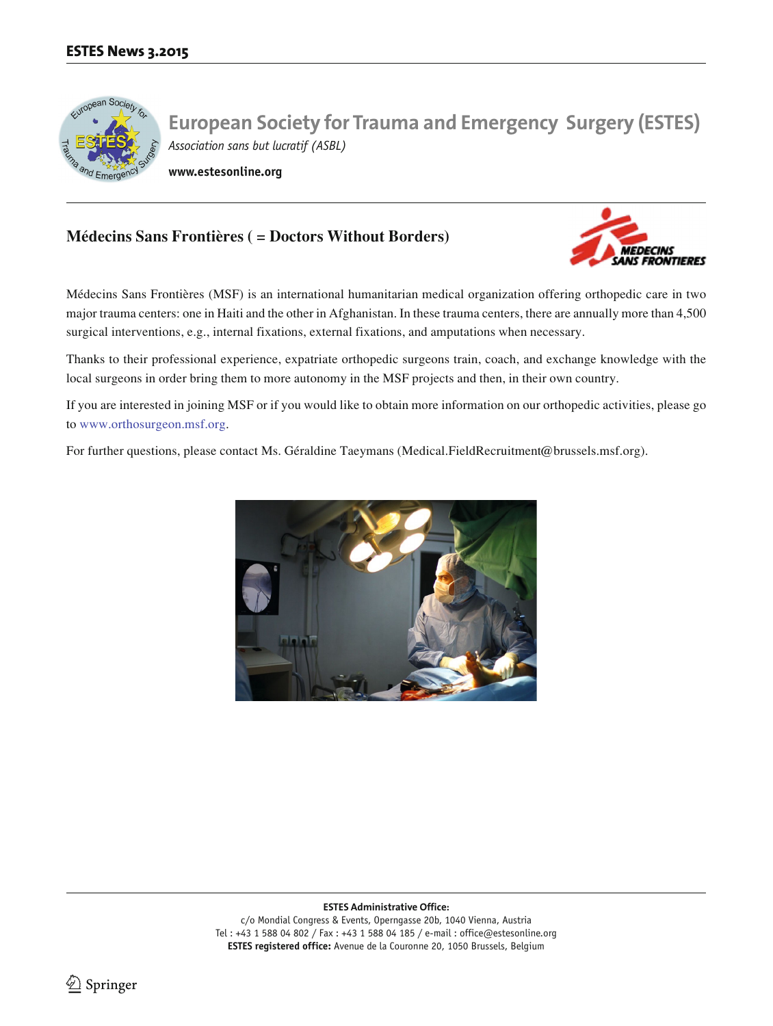

**www.estesonline.org**

# **Médecins Sans Frontières ( = Doctors Without Borders)**



Médecins Sans Frontières (MSF) is an international humanitarian medical organization offering orthopedic care in two major trauma centers: one in Haiti and the other in Afghanistan. In these trauma centers, there are annually more than 4,500 surgical interventions, e.g., internal fixations, external fixations, and amputations when necessary.

Thanks to their professional experience, expatriate orthopedic surgeons train, coach, and exchange knowledge with the local surgeons in order bring them to more autonomy in the MSF projects and then, in their own country.

If you are interested in joining MSF or if you would like to obtain more information on our orthopedic activities, please go to www.orthosurgeon.msf.org.

For further questions, please contact Ms. Géraldine Taeymans (Medical.FieldRecruitment@brussels.msf.org).

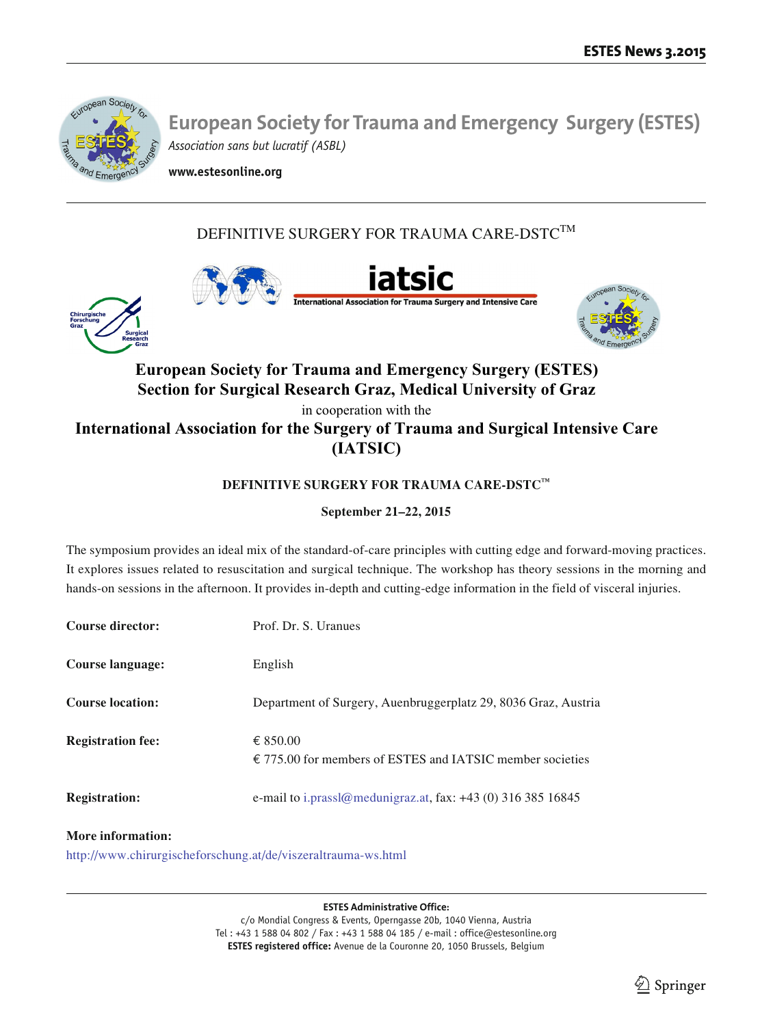

**www.estesonline.org**

# DEFINITIVE SURGERY FOR TRAUMA CARE-DSTCTM





# **European Society for Trauma and Emergency Surgery (ESTES) Section for Surgical Research Graz, Medical University of Graz**

in cooperation with the

# **International Association for the Surgery of Trauma and Surgical Intensive Care (IATSIC)**

## **DEFINITIVE SURGERY FOR TRAUMA CARE-DSTC™**

**September 21–22, 2015**

The symposium provides an ideal mix of the standard-of-care principles with cutting edge and forward-moving practices. It explores issues related to resuscitation and surgical technique. The workshop has theory sessions in the morning and hands-on sessions in the afternoon. It provides in-depth and cutting-edge information in the field of visceral injuries.

| Course director:         | Prof. Dr. S. Uranues                                                           |
|--------------------------|--------------------------------------------------------------------------------|
| Course language:         | English                                                                        |
| <b>Course location:</b>  | Department of Surgery, Auenbruggerplatz 29, 8036 Graz, Austria                 |
| <b>Registration fee:</b> | € 850.00<br>$\epsilon$ 775.00 for members of ESTES and IATSIC member societies |
| <b>Registration:</b>     | e-mail to i.prassl@medunigraz.at, fax: $+43$ (0) 316 385 16845                 |

**More information:**

http://www.chirurgischeforschung.at/de/viszeraltrauma-ws.html

**ESTES Administrative Office:**